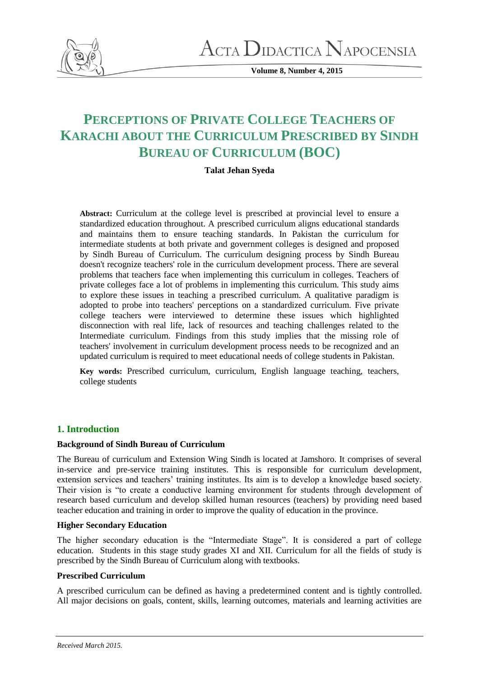

**Volume 8, Number 4, 2015**

# **PERCEPTIONS OF PRIVATE COLLEGE TEACHERS OF KARACHI ABOUT THE CURRICULUM PRESCRIBED BY SINDH BUREAU OF CURRICULUM (BOC)**

# **Talat Jehan Syeda**

**Abstract:** Curriculum at the college level is prescribed at provincial level to ensure a standardized education throughout. A prescribed curriculum aligns educational standards and maintains them to ensure teaching standards. In Pakistan the curriculum for intermediate students at both private and government colleges is designed and proposed by Sindh Bureau of Curriculum. The curriculum designing process by Sindh Bureau doesn't recognize teachers' role in the curriculum development process. There are several problems that teachers face when implementing this curriculum in colleges. Teachers of private colleges face a lot of problems in implementing this curriculum. This study aims to explore these issues in teaching a prescribed curriculum. A qualitative paradigm is adopted to probe into teachers' perceptions on a standardized curriculum. Five private college teachers were interviewed to determine these issues which highlighted disconnection with real life, lack of resources and teaching challenges related to the Intermediate curriculum. Findings from this study implies that the missing role of teachers' involvement in curriculum development process needs to be recognized and an updated curriculum is required to meet educational needs of college students in Pakistan.

**Key words:** Prescribed curriculum, curriculum, English language teaching, teachers, college students

# **1. Introduction**

# **Background of Sindh Bureau of Curriculum**

The Bureau of curriculum and Extension Wing Sindh is located at Jamshoro. It comprises of several in-service and pre-service training institutes. This is responsible for curriculum development, extension services and teachers' training institutes. Its aim is to develop a knowledge based society. Their vision is "to create a conductive learning environment for students through development of research based curriculum and develop skilled human resources (teachers) by providing need based teacher education and training in order to improve the quality of education in the province.

## **Higher Secondary Education**

The higher secondary education is the "Intermediate Stage". It is considered a part of college education. Students in this stage study grades XI and XII. Curriculum for all the fields of study is prescribed by the Sindh Bureau of Curriculum along with textbooks.

## **Prescribed Curriculum**

A prescribed curriculum can be defined as having a predetermined content and is tightly controlled. All major decisions on goals, content, skills, learning outcomes, materials and learning activities are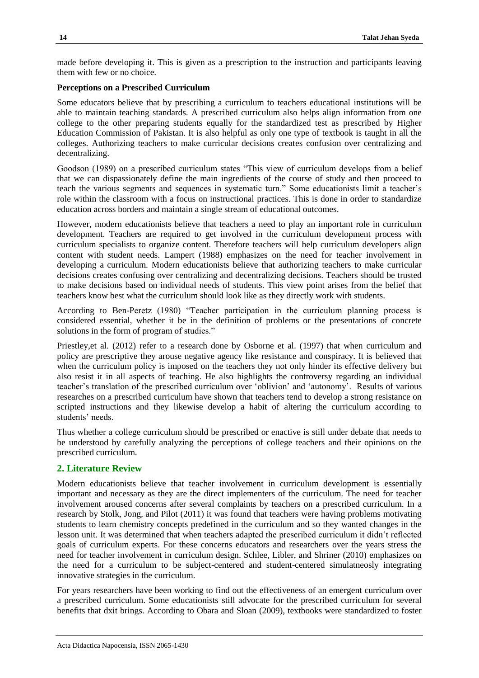made before developing it. This is given as a prescription to the instruction and participants leaving them with few or no choice.

#### **Perceptions on a Prescribed Curriculum**

Some educators believe that by prescribing a curriculum to teachers educational institutions will be able to maintain teaching standards. A prescribed curriculum also helps align information from one college to the other preparing students equally for the standardized test as prescribed by Higher Education Commission of Pakistan. It is also helpful as only one type of textbook is taught in all the colleges. Authorizing teachers to make curricular decisions creates confusion over centralizing and decentralizing.

Goodson (1989) on a prescribed curriculum states "This view of curriculum develops from a belief that we can dispassionately define the main ingredients of the course of study and then proceed to teach the various segments and sequences in systematic turn." Some educationists limit a teacher's role within the classroom with a focus on instructional practices. This is done in order to standardize education across borders and maintain a single stream of educational outcomes.

However, modern educationists believe that teachers a need to play an important role in curriculum development. Teachers are required to get involved in the curriculum development process with curriculum specialists to organize content. Therefore teachers will help curriculum developers align content with student needs. Lampert (1988) emphasizes on the need for teacher involvement in developing a curriculum. Modern educationists believe that authorizing teachers to make curricular decisions creates confusing over centralizing and decentralizing decisions. Teachers should be trusted to make decisions based on individual needs of students. This view point arises from the belief that teachers know best what the curriculum should look like as they directly work with students.

According to Ben-Peretz (1980) "Teacher participation in the curriculum planning process is considered essential, whether it be in the definition of problems or the presentations of concrete solutions in the form of program of studies."

Priestley,et al. (2012) refer to a research done by Osborne et al. (1997) that when curriculum and policy are prescriptive they arouse negative agency like resistance and conspiracy. It is believed that when the curriculum policy is imposed on the teachers they not only hinder its effective delivery but also resist it in all aspects of teaching. He also highlights the controversy regarding an individual teacher's translation of the prescribed curriculum over 'oblivion' and 'autonomy'. Results of various researches on a prescribed curriculum have shown that teachers tend to develop a strong resistance on scripted instructions and they likewise develop a habit of altering the curriculum according to students' needs.

Thus whether a college curriculum should be prescribed or enactive is still under debate that needs to be understood by carefully analyzing the perceptions of college teachers and their opinions on the prescribed curriculum.

# **2. Literature Review**

Modern educationists believe that teacher involvement in curriculum development is essentially important and necessary as they are the direct implementers of the curriculum. The need for teacher involvement aroused concerns after several complaints by teachers on a prescribed curriculum. In a research by Stolk, Jong, and Pilot (2011) it was found that teachers were having problems motivating students to learn chemistry concepts predefined in the curriculum and so they wanted changes in the lesson unit. It was determined that when teachers adapted the prescribed curriculum it didn't reflected goals of curriculum experts. For these concerns educators and researchers over the years stress the need for teacher involvement in curriculum design. Schlee, Libler, and Shriner (2010) emphasizes on the need for a curriculum to be subject-centered and student-centered simulatneosly integrating innovative strategies in the curriculum.

For years researchers have been working to find out the effectiveness of an emergent curriculum over a prescribed curriculum. Some educationists still advocate for the prescribed curriculum for several benefits that dxit brings. According to Obara and Sloan (2009), textbooks were standardized to foster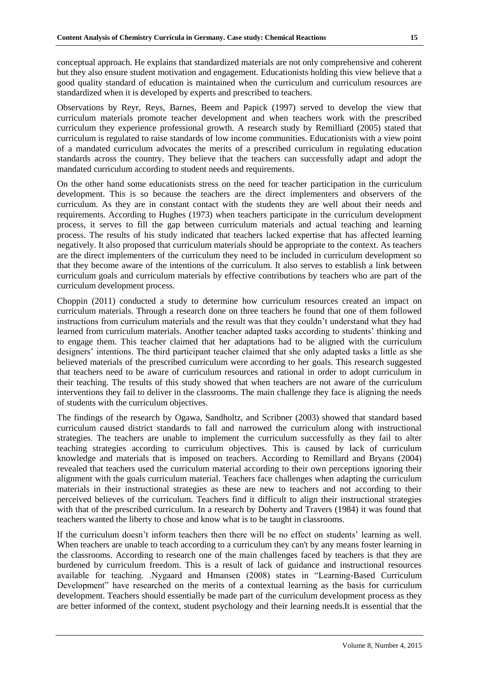conceptual approach. He explains that standardized materials are not only comprehensive and coherent but they also ensure student motivation and engagement. Educationists holding this view believe that a good quality standard of education is maintained when the curriculum and curriculum resources are standardized when it is developed by experts and prescribed to teachers.

Observations by Reyr, Reys, Barnes, Beem and Papick (1997) served to develop the view that curriculum materials promote teacher development and when teachers work with the prescribed curriculum they experience professional growth. A research study by Remilliard (2005) stated that curriculum is regulated to raise standards of low income communities. Educationists with a view point of a mandated curriculum advocates the merits of a prescribed curriculum in regulating education standards across the country. They believe that the teachers can successfully adapt and adopt the mandated curriculum according to student needs and requirements.

On the other hand some educationists stress on the need for teacher participation in the curriculum development. This is so because the teachers are the direct implementers and observers of the curriculum. As they are in constant contact with the students they are well about their needs and requirements. According to Hughes (1973) when teachers participate in the curriculum development process, it serves to fill the gap between curriculum materials and actual teaching and learning process. The results of his study indicated that teachers lacked expertise that has affected learning negatively. It also proposed that curriculum materials should be appropriate to the context. As teachers are the direct implementers of the curriculum they need to be included in curriculum development so that they become aware of the intentions of the curriculum. It also serves to establish a link between curriculum goals and curriculum materials by effective contributions by teachers who are part of the curriculum development process.

Choppin (2011) conducted a study to determine how curriculum resources created an impact on curriculum materials. Through a research done on three teachers he found that one of them followed instructions from curriculum materials and the result was that they couldn't understand what they had learned from curriculum materials. Another teacher adapted tasks according to students' thinking and to engage them. This teacher claimed that her adaptations had to be aligned with the curriculum designers' intentions. The third participant teacher claimed that she only adapted tasks a little as she believed materials of the prescribed curriculum were according to her goals. This research suggested that teachers need to be aware of curriculum resources and rational in order to adopt curriculum in their teaching. The results of this study showed that when teachers are not aware of the curriculum interventions they fail to deliver in the classrooms. The main challenge they face is aligning the needs of students with the curriculum objectives.

The findings of the research by Ogawa, Sandholtz, and Scribner (2003) showed that standard based curriculum caused district standards to fall and narrowed the curriculum along with instructional strategies. The teachers are unable to implement the curriculum successfully as they fail to alter teaching strategies according to curriculum objectives. This is caused by lack of curriculum knowledge and materials that is imposed on teachers. According to Remillard and Bryans (2004) revealed that teachers used the curriculum material according to their own perceptions ignoring their alignment with the goals curriculum material. Teachers face challenges when adapting the curriculum materials in their instructional strategies as these are new to teachers and not according to their perceived believes of the curriculum. Teachers find it difficult to align their instructional strategies with that of the prescribed curriculum. In a research by Doherty and Travers (1984) it was found that teachers wanted the liberty to chose and know what is to be taught in classrooms.

If the curriculum doesn't inform teachers then there will be no effect on students' learning as well. When teachers are unable to teach according to a curriculum they can't by any means foster learning in the classrooms. According to research one of the main challenges faced by teachers is that they are burdened by curriculum freedom. This is a result of lack of guidance and instructional resources available for teaching. .Nygaard and Hmansen (2008) states in "Learning-Based Curriculum Development" have researched on the merits of a contextual learning as the basis for curriculum development. Teachers should essentially be made part of the curriculum development process as they are better informed of the context, student psychology and their learning needs.It is essential that the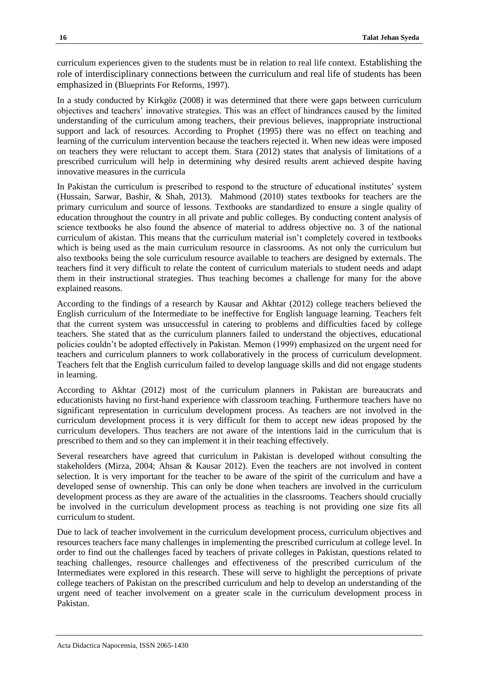curriculum experiences given to the students must be in relation to real life context. Establishing the role of interdisciplinary connections between the curriculum and real life of students has been emphasized in (Blueprints For Reforms, 1997).

In a study conducted by Kirkgöz (2008) it was determined that there were gaps between curriculum objectives and teachers' innovative strategies. This was an effect of hindrances caused by the limited understanding of the curriculum among teachers, their previous believes, inappropriate instructional support and lack of resources. According to Prophet (1995) there was no effect on teaching and learning of the curriculum intervention because the teachers rejected it. When new ideas were imposed on teachers they were reluctant to accept them. Stara (2012) states that analysis of limitations of a prescribed curriculum will help in determining why desired results arent achieved despite having innovative measures in the curricula

In Pakistan the curriculum is prescribed to respond to the structure of educational institutes' system (Hussain, Sarwar, Bashir, & Shah, 2013). Mahmood (2010) states textbooks for teachers are the primary curriculum and source of lessons. Textbooks are standardized to ensure a single quality of education throughout the country in all private and public colleges. By conducting content analysis of science textbooks he also found the absence of material to address objective no. 3 of the national curriculum of akistan. This means that the curriculum material isn't completely covered in textbooks which is being used as the main curriculum resource in classrooms. As not only the curriculum but also textbooks being the sole curriculum resource available to teachers are designed by externals. The teachers find it very difficult to relate the content of curriculum materials to student needs and adapt them in their instructional strategies. Thus teaching becomes a challenge for many for the above explained reasons.

According to the findings of a research by Kausar and Akhtar (2012) college teachers believed the English curriculum of the Intermediate to be ineffective for English language learning. Teachers felt that the current system was unsuccessful in catering to problems and difficulties faced by college teachers. She stated that as the curriculum planners failed to understand the objectives, educational policies couldn't be adopted effectively in Pakistan. Memon (1999) emphasized on the urgent need for teachers and curriculum planners to work collaboratively in the process of curriculum development. Teachers felt that the English curriculum failed to develop language skills and did not engage students in learning.

According to Akhtar (2012) most of the curriculum planners in Pakistan are bureaucrats and educationists having no first-hand experience with classroom teaching. Furthermore teachers have no significant representation in curriculum development process. As teachers are not involved in the curriculum development process it is very difficult for them to accept new ideas proposed by the curriculum developers. Thus teachers are not aware of the intentions laid in the curriculum that is prescribed to them and so they can implement it in their teaching effectively.

Several researchers have agreed that curriculum in Pakistan is developed without consulting the stakeholders (Mirza, 2004; Ahsan & Kausar 2012). Even the teachers are not involved in content selection. It is very important for the teacher to be aware of the spirit of the curriculum and have a developed sense of ownership. This can only be done when teachers are involved in the curriculum development process as they are aware of the actualities in the classrooms. Teachers should crucially be involved in the curriculum development process as teaching is not providing one size fits all curriculum to student.

Due to lack of teacher involvement in the curriculum development process, curriculum objectives and resources teachers face many challenges in implementing the prescribed curriculum at college level. In order to find out the challenges faced by teachers of private colleges in Pakistan, questions related to teaching challenges, resource challenges and effectiveness of the prescribed curriculum of the Intermediates were explored in this research. These will serve to highlight the perceptions of private college teachers of Pakistan on the prescribed curriculum and help to develop an understanding of the urgent need of teacher involvement on a greater scale in the curriculum development process in Pakistan.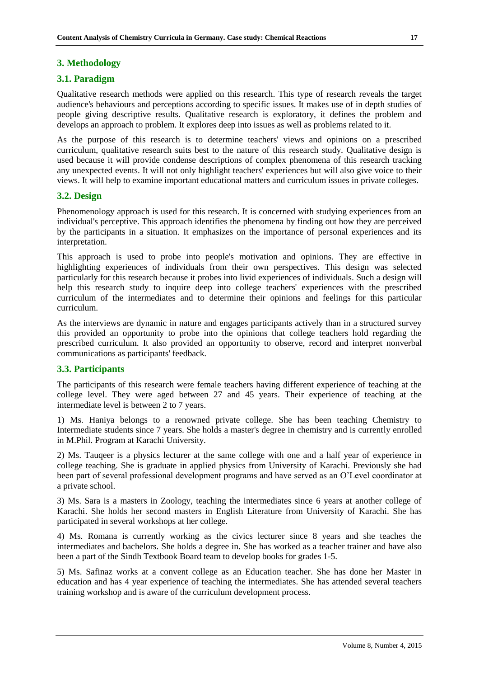## **3. Methodology**

#### **3.1. Paradigm**

Qualitative research methods were applied on this research. This type of research reveals the target audience's behaviours and perceptions according to specific issues. It makes use of in depth studies of people giving descriptive results. Qualitative research is exploratory, it defines the problem and develops an approach to problem. It explores deep into issues as well as problems related to it.

As the purpose of this research is to determine teachers' views and opinions on a prescribed curriculum, qualitative research suits best to the nature of this research study. Qualitative design is used because it will provide condense descriptions of complex phenomena of this research tracking any unexpected events. It will not only highlight teachers' experiences but will also give voice to their views. It will help to examine important educational matters and curriculum issues in private colleges.

#### **3.2. Design**

Phenomenology approach is used for this research. It is concerned with studying experiences from an individual's perceptive. This approach identifies the phenomena by finding out how they are perceived by the participants in a situation. It emphasizes on the importance of personal experiences and its interpretation.

This approach is used to probe into people's motivation and opinions. They are effective in highlighting experiences of individuals from their own perspectives. This design was selected particularly for this research because it probes into livid experiences of individuals. Such a design will help this research study to inquire deep into college teachers' experiences with the prescribed curriculum of the intermediates and to determine their opinions and feelings for this particular curriculum.

As the interviews are dynamic in nature and engages participants actively than in a structured survey this provided an opportunity to probe into the opinions that college teachers hold regarding the prescribed curriculum. It also provided an opportunity to observe, record and interpret nonverbal communications as participants' feedback.

#### **3.3. Participants**

The participants of this research were female teachers having different experience of teaching at the college level. They were aged between 27 and 45 years. Their experience of teaching at the intermediate level is between 2 to 7 years.

1) Ms. Haniya belongs to a renowned private college. She has been teaching Chemistry to Intermediate students since 7 years. She holds a master's degree in chemistry and is currently enrolled in M.Phil. Program at Karachi University.

2) Ms. Tauqeer is a physics lecturer at the same college with one and a half year of experience in college teaching. She is graduate in applied physics from University of Karachi. Previously she had been part of several professional development programs and have served as an O'Level coordinator at a private school.

3) Ms. Sara is a masters in Zoology, teaching the intermediates since 6 years at another college of Karachi. She holds her second masters in English Literature from University of Karachi. She has participated in several workshops at her college.

4) Ms. Romana is currently working as the civics lecturer since 8 years and she teaches the intermediates and bachelors. She holds a degree in. She has worked as a teacher trainer and have also been a part of the Sindh Textbook Board team to develop books for grades 1-5.

5) Ms. Safinaz works at a convent college as an Education teacher. She has done her Master in education and has 4 year experience of teaching the intermediates. She has attended several teachers training workshop and is aware of the curriculum development process.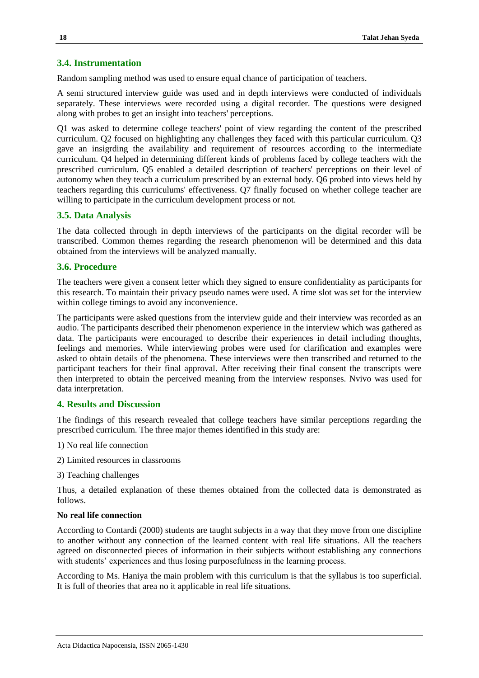#### **3.4. Instrumentation**

Random sampling method was used to ensure equal chance of participation of teachers.

A semi structured interview guide was used and in depth interviews were conducted of individuals separately. These interviews were recorded using a digital recorder. The questions were designed along with probes to get an insight into teachers' perceptions.

Q1 was asked to determine college teachers' point of view regarding the content of the prescribed curriculum. Q2 focused on highlighting any challenges they faced with this particular curriculum. Q3 gave an insigrding the availability and requirement of resources according to the intermediate curriculum. Q4 helped in determining different kinds of problems faced by college teachers with the prescribed curriculum. Q5 enabled a detailed description of teachers' perceptions on their level of autonomy when they teach a curriculum prescribed by an external body. Q6 probed into views held by teachers regarding this curriculums' effectiveness. Q7 finally focused on whether college teacher are willing to participate in the curriculum development process or not.

## **3.5. Data Analysis**

The data collected through in depth interviews of the participants on the digital recorder will be transcribed. Common themes regarding the research phenomenon will be determined and this data obtained from the interviews will be analyzed manually.

#### **3.6. Procedure**

The teachers were given a consent letter which they signed to ensure confidentiality as participants for this research. To maintain their privacy pseudo names were used. A time slot was set for the interview within college timings to avoid any inconvenience.

The participants were asked questions from the interview guide and their interview was recorded as an audio. The participants described their phenomenon experience in the interview which was gathered as data. The participants were encouraged to describe their experiences in detail including thoughts, feelings and memories. While interviewing probes were used for clarification and examples were asked to obtain details of the phenomena. These interviews were then transcribed and returned to the participant teachers for their final approval. After receiving their final consent the transcripts were then interpreted to obtain the perceived meaning from the interview responses. Nvivo was used for data interpretation.

#### **4. Results and Discussion**

The findings of this research revealed that college teachers have similar perceptions regarding the prescribed curriculum. The three major themes identified in this study are:

1) No real life connection

2) Limited resources in classrooms

3) Teaching challenges

Thus, a detailed explanation of these themes obtained from the collected data is demonstrated as follows.

# **No real life connection**

According to Contardi (2000) students are taught subjects in a way that they move from one discipline to another without any connection of the learned content with real life situations. All the teachers agreed on disconnected pieces of information in their subjects without establishing any connections with students' experiences and thus losing purposefulness in the learning process.

According to Ms. Haniya the main problem with this curriculum is that the syllabus is too superficial. It is full of theories that area no it applicable in real life situations.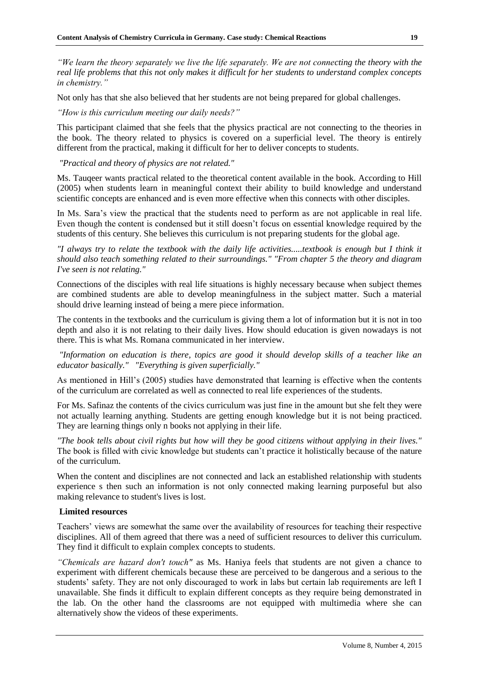*"We learn the theory separately we live the life separately. We are not connecting the theory with the real life problems that this not only makes it difficult for her students to understand complex concepts in chemistry."* 

Not only has that she also believed that her students are not being prepared for global challenges.

*"How is this curriculum meeting our daily needs?"*

This participant claimed that she feels that the physics practical are not connecting to the theories in the book. The theory related to physics is covered on a superficial level. The theory is entirely different from the practical, making it difficult for her to deliver concepts to students.

*"Practical and theory of physics are not related."* 

Ms. Tauqeer wants practical related to the theoretical content available in the book. According to Hill (2005) when students learn in meaningful context their ability to build knowledge and understand scientific concepts are enhanced and is even more effective when this connects with other disciples.

In Ms. Sara's view the practical that the students need to perform as are not applicable in real life. Even though the content is condensed but it still doesn't focus on essential knowledge required by the students of this century. She believes this curriculum is not preparing students for the global age.

*"I always try to relate the textbook with the daily life activities.....textbook is enough but I think it should also teach something related to their surroundings." "From chapter 5 the theory and diagram I've seen is not relating."*

Connections of the disciples with real life situations is highly necessary because when subject themes are combined students are able to develop meaningfulness in the subject matter. Such a material should drive learning instead of being a mere piece information.

The contents in the textbooks and the curriculum is giving them a lot of information but it is not in too depth and also it is not relating to their daily lives. How should education is given nowadays is not there. This is what Ms. Romana communicated in her interview.

*"Information on education is there, topics are good it should develop skills of a teacher like an educator basically." "Everything is given superficially."*

As mentioned in Hill's (2005) studies have demonstrated that learning is effective when the contents of the curriculum are correlated as well as connected to real life experiences of the students.

For Ms. Safinaz the contents of the civics curriculum was just fine in the amount but she felt they were not actually learning anything. Students are getting enough knowledge but it is not being practiced. They are learning things only n books not applying in their life.

*"The book tells about civil rights but how will they be good citizens without applying in their lives."* The book is filled with civic knowledge but students can't practice it holistically because of the nature of the curriculum.

When the content and disciplines are not connected and lack an established relationship with students experience s then such an information is not only connected making learning purposeful but also making relevance to student's lives is lost.

#### **Limited resources**

Teachers' views are somewhat the same over the availability of resources for teaching their respective disciplines. All of them agreed that there was a need of sufficient resources to deliver this curriculum. They find it difficult to explain complex concepts to students.

*"Chemicals are hazard don't touch"* as Ms. Haniya feels that students are not given a chance to experiment with different chemicals because these are perceived to be dangerous and a serious to the students' safety. They are not only discouraged to work in labs but certain lab requirements are left I unavailable. She finds it difficult to explain different concepts as they require being demonstrated in the lab. On the other hand the classrooms are not equipped with multimedia where she can alternatively show the videos of these experiments.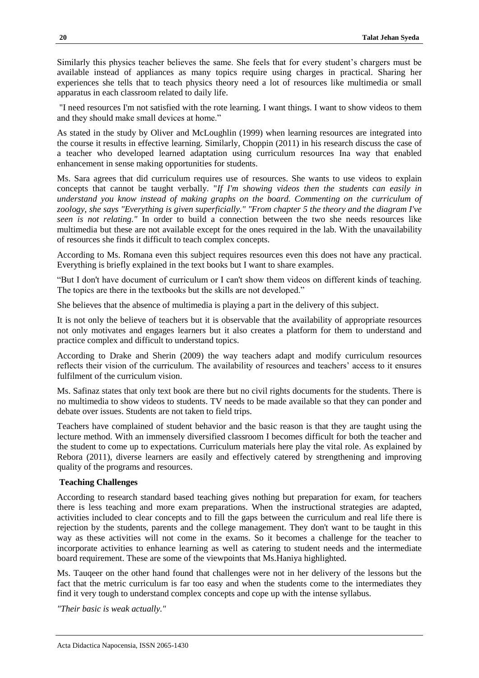Similarly this physics teacher believes the same. She feels that for every student's chargers must be available instead of appliances as many topics require using charges in practical. Sharing her experiences she tells that to teach physics theory need a lot of resources like multimedia or small apparatus in each classroom related to daily life.

"I need resources I'm not satisfied with the rote learning. I want things. I want to show videos to them and they should make small devices at home."

As stated in the study by Oliver and McLoughlin (1999) when learning resources are integrated into the course it results in effective learning. Similarly, Choppin (2011) in his research discuss the case of a teacher who developed learned adaptation using curriculum resources Ina way that enabled enhancement in sense making opportunities for students.

Ms. Sara agrees that did curriculum requires use of resources. She wants to use videos to explain concepts that cannot be taught verbally. "*If I'm showing videos then the students can easily in understand you know instead of making graphs on the board. Commenting on the curriculum of zoology, she says "Everything is given superficially." "From chapter 5 the theory and the diagram I've seen is not relating."* In order to build a connection between the two she needs resources like multimedia but these are not available except for the ones required in the lab. With the unavailability of resources she finds it difficult to teach complex concepts.

According to Ms. Romana even this subject requires resources even this does not have any practical. Everything is briefly explained in the text books but I want to share examples.

"But I don't have document of curriculum or I can't show them videos on different kinds of teaching. The topics are there in the textbooks but the skills are not developed."

She believes that the absence of multimedia is playing a part in the delivery of this subject.

It is not only the believe of teachers but it is observable that the availability of appropriate resources not only motivates and engages learners but it also creates a platform for them to understand and practice complex and difficult to understand topics.

According to Drake and Sherin (2009) the way teachers adapt and modify curriculum resources reflects their vision of the curriculum. The availability of resources and teachers' access to it ensures fulfilment of the curriculum vision.

Ms. Safinaz states that only text book are there but no civil rights documents for the students. There is no multimedia to show videos to students. TV needs to be made available so that they can ponder and debate over issues. Students are not taken to field trips.

Teachers have complained of student behavior and the basic reason is that they are taught using the lecture method. With an immensely diversified classroom I becomes difficult for both the teacher and the student to come up to expectations. Curriculum materials here play the vital role. As explained by Rebora (2011), diverse learners are easily and effectively catered by strengthening and improving quality of the programs and resources.

#### **Teaching Challenges**

According to research standard based teaching gives nothing but preparation for exam, for teachers there is less teaching and more exam preparations. When the instructional strategies are adapted, activities included to clear concepts and to fill the gaps between the curriculum and real life there is rejection by the students, parents and the college management. They don't want to be taught in this way as these activities will not come in the exams. So it becomes a challenge for the teacher to incorporate activities to enhance learning as well as catering to student needs and the intermediate board requirement. These are some of the viewpoints that Ms.Haniya highlighted.

Ms. Tauqeer on the other hand found that challenges were not in her delivery of the lessons but the fact that the metric curriculum is far too easy and when the students come to the intermediates they find it very tough to understand complex concepts and cope up with the intense syllabus.

*"Their basic is weak actually."*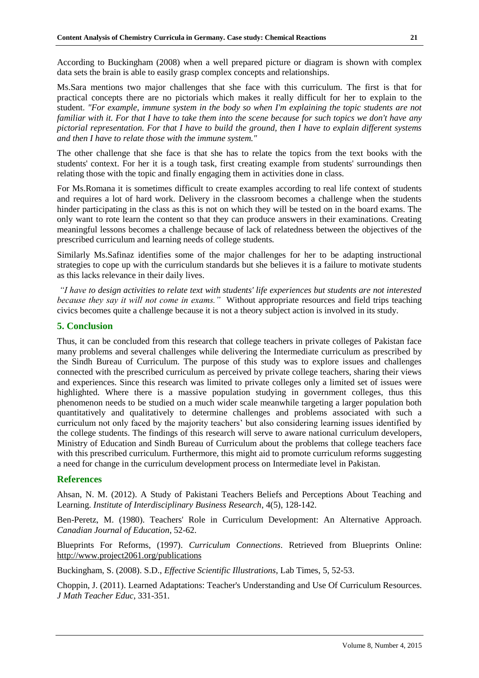According to Buckingham (2008) when a well prepared picture or diagram is shown with complex data sets the brain is able to easily grasp complex concepts and relationships.

Ms.Sara mentions two major challenges that she face with this curriculum. The first is that for practical concepts there are no pictorials which makes it really difficult for her to explain to the student. *"For example, immune system in the body so when I'm explaining the topic students are not familiar with it. For that I have to take them into the scene because for such topics we don't have any pictorial representation. For that I have to build the ground, then I have to explain different systems and then I have to relate those with the immune system."*

The other challenge that she face is that she has to relate the topics from the text books with the students' context. For her it is a tough task, first creating example from students' surroundings then relating those with the topic and finally engaging them in activities done in class.

For Ms.Romana it is sometimes difficult to create examples according to real life context of students and requires a lot of hard work. Delivery in the classroom becomes a challenge when the students hinder participating in the class as this is not on which they will be tested on in the board exams. The only want to rote learn the content so that they can produce answers in their examinations. Creating meaningful lessons becomes a challenge because of lack of relatedness between the objectives of the prescribed curriculum and learning needs of college students.

Similarly Ms.Safinaz identifies some of the major challenges for her to be adapting instructional strategies to cope up with the curriculum standards but she believes it is a failure to motivate students as this lacks relevance in their daily lives.

*"I have to design activities to relate text with students' life experiences but students are not interested because they say it will not come in exams."* Without appropriate resources and field trips teaching civics becomes quite a challenge because it is not a theory subject action is involved in its study.

#### **5. Conclusion**

Thus, it can be concluded from this research that college teachers in private colleges of Pakistan face many problems and several challenges while delivering the Intermediate curriculum as prescribed by the Sindh Bureau of Curriculum. The purpose of this study was to explore issues and challenges connected with the prescribed curriculum as perceived by private college teachers, sharing their views and experiences. Since this research was limited to private colleges only a limited set of issues were highlighted. Where there is a massive population studying in government colleges, thus this phenomenon needs to be studied on a much wider scale meanwhile targeting a larger population both quantitatively and qualitatively to determine challenges and problems associated with such a curriculum not only faced by the majority teachers' but also considering learning issues identified by the college students. The findings of this research will serve to aware national curriculum developers, Ministry of Education and Sindh Bureau of Curriculum about the problems that college teachers face with this prescribed curriculum. Furthermore, this might aid to promote curriculum reforms suggesting a need for change in the curriculum development process on Intermediate level in Pakistan.

# **References**

Ahsan, N. M. (2012). A Study of Pakistani Teachers Beliefs and Perceptions About Teaching and Learning. *Institute of Interdisciplinary Business Research*, 4(5), 128-142.

Ben-Peretz, M. (1980). Teachers' Role in Curriculum Development: An Alternative Approach. *Canadian Journal of Education*, 52-62.

Blueprints For Reforms, (1997). *Curriculum Connections*. Retrieved from Blueprints Online: [http://www.project2061.org/publications](http://www.project2061.org/publications/bfr/online/curricul/text.htm)

Buckingham, S. (2008). S.D., *Effective Scientific Illustrations*, Lab Times, 5, 52-53.

Choppin, J. (2011). Learned Adaptations: Teacher's Understanding and Use Of Curriculum Resources. *J Math Teacher Educ*, 331-351.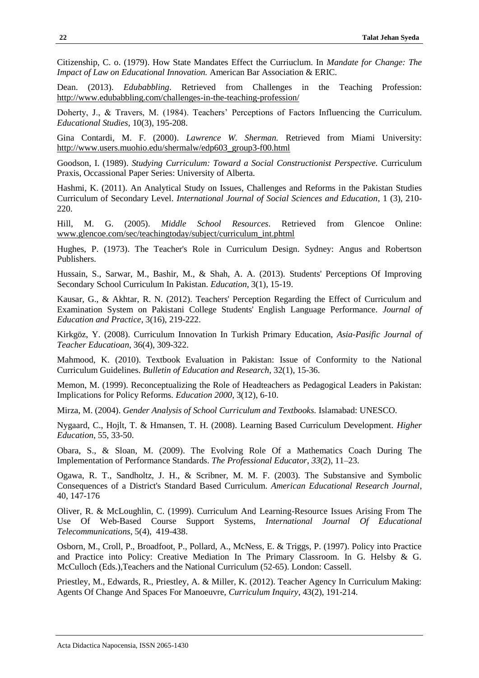Citizenship, C. o. (1979). How State Mandates Effect the Curriuclum. In *Mandate for Change: The Impact of Law on Educational Innovation.* American Bar Association & ERIC.

Dean. (2013). *Edubabbling*. Retrieved from Challenges in the Teaching Profession: <http://www.edubabbling.com/challenges-in-the-teaching-profession/>

Doherty, J., & Travers, M. (1984). Teachers' Perceptions of Factors Influencing the Curriculum. *Educational Studies*, 10(3), 195-208.

Gina Contardi, M. F. (2000). *Lawrence W. Sherman.* Retrieved from Miami University: [http://www.users.muohio.edu/shermalw/edp603\\_group3-f00.html](http://www.users.muohio.edu/shermalw/edp603_group3-f00.html)

Goodson, I. (1989). *Studying Curriculum: Toward a Social Constructionist Perspective.* Curriculum Praxis, Occassional Paper Series: University of Alberta.

Hashmi, K. (2011). An Analytical Study on Issues, Challenges and Reforms in the Pakistan Studies Curriculum of Secondary Level. *International Journal of Social Sciences and Education*, 1 (3), 210- 220.

Hill, M. G. (2005). *Middle School Resources*. Retrieved from Glencoe Online: [www.glencoe.com/sec/teachingtoday/subject/curriculum\\_int.phtml](http://www.glencoe.com/sec/teachingtoday/subject/curriculum_int.phtml)

Hughes, P. (1973). The Teacher's Role in Curriculum Design. Sydney: Angus and Robertson Publishers.

Hussain, S., Sarwar, M., Bashir, M., & Shah, A. A. (2013). Students' Perceptions Of Improving Secondary School Curriculum In Pakistan. *Education,* 3(1), 15-19.

Kausar, G., & Akhtar, R. N. (2012). Teachers' Perception Regarding the Effect of Curriculum and Examination System on Pakistani College Students' English Language Performance. *Journal of Education and Practice*, 3(16), 219-222.

Kirkgöz, Y. (2008). Curriculum Innovation In Turkish Primary Education, *Asia-Pasific Journal of Teacher Educatioan*, 36(4), 309-322.

Mahmood, K. (2010). Textbook Evaluation in Pakistan: Issue of Conformity to the National Curriculum Guidelines. *Bulletin of Education and Research*, 32(1), 15-36.

Memon, M. (1999). Reconceptualizing the Role of Headteachers as Pedagogical Leaders in Pakistan: Implications for Policy Reforms*. Education 2000*, 3(12), 6-10.

Mirza, M. (2004). *Gender Analysis of School Curriculum and Textbooks.* Islamabad: UNESCO.

Nygaard, C., Hojlt, T. & Hmansen, T. H. (2008). Learning Based Curriculum Development. *Higher Education*, 55, 33-50.

Obara, S., & Sloan, M. (2009). The Evolving Role Of a Mathematics Coach During The Implementation of Performance Standards. *The Professional Educator*, *33*(2), 11–23.

Ogawa, R. T., Sandholtz, J. H., & Scribner, M. M. F. (2003). The Substansive and Symbolic Consequences of a District's Standard Based Curriculum. *American Educational Research Journal*, 40, 147-176

Oliver, R. & McLoughlin, C. (1999). Curriculum And Learning-Resource Issues Arising From The Use Of Web-Based Course Support Systems, *International Journal Of Educational Telecommunications*, 5(4), 419-438.

Osborn, M., Croll, P., Broadfoot, P., Pollard, A., McNess, E. & Triggs, P. (1997). Policy into Practice and Practice into Policy: Creative Mediation In The Primary Classroom. In G. Helsby & G. McCulloch (Eds.),Teachers and the National Curriculum (52-65). London: Cassell.

Priestley, M., Edwards, R., Priestley, A. & Miller, K. (2012). Teacher Agency In Curriculum Making: Agents Of Change And Spaces For Manoeuvre, *Curriculum Inquiry*, 43(2), 191-214.